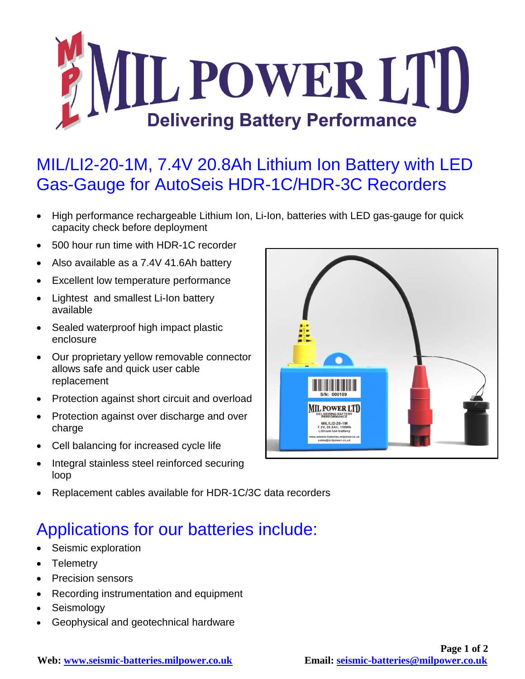

## MIL/LI2-20-1M, 7.4V 20.8Ah Lithium Ion Battery with LED Gas-Gauge for AutoSeis HDR-1C/HDR-3C Recorders

- High performance rechargeable Lithium Ion, Li-Ion, batteries with LED gas-gauge for quick capacity check before deployment
- 500 hour run time with HDR-1C recorder
- Also available as a 7.4V 41.6Ah battery
- Excellent low temperature performance
- Lightest and smallest Li-Ion battery available
- Sealed waterproof high impact plastic enclosure
- Our proprietary yellow removable connector allows safe and quick user cable replacement
- Protection against short circuit and overload
- Protection against over discharge and over charge
- Cell balancing for increased cycle life
- Integral stainless steel reinforced securing loop



Replacement cables available for HDR-1C/3C data recorders

## Applications for our batteries include:

- Seismic exploration
- Telemetry
- Precision sensors
- Recording instrumentation and equipment
- Seismology
- Geophysical and geotechnical hardware